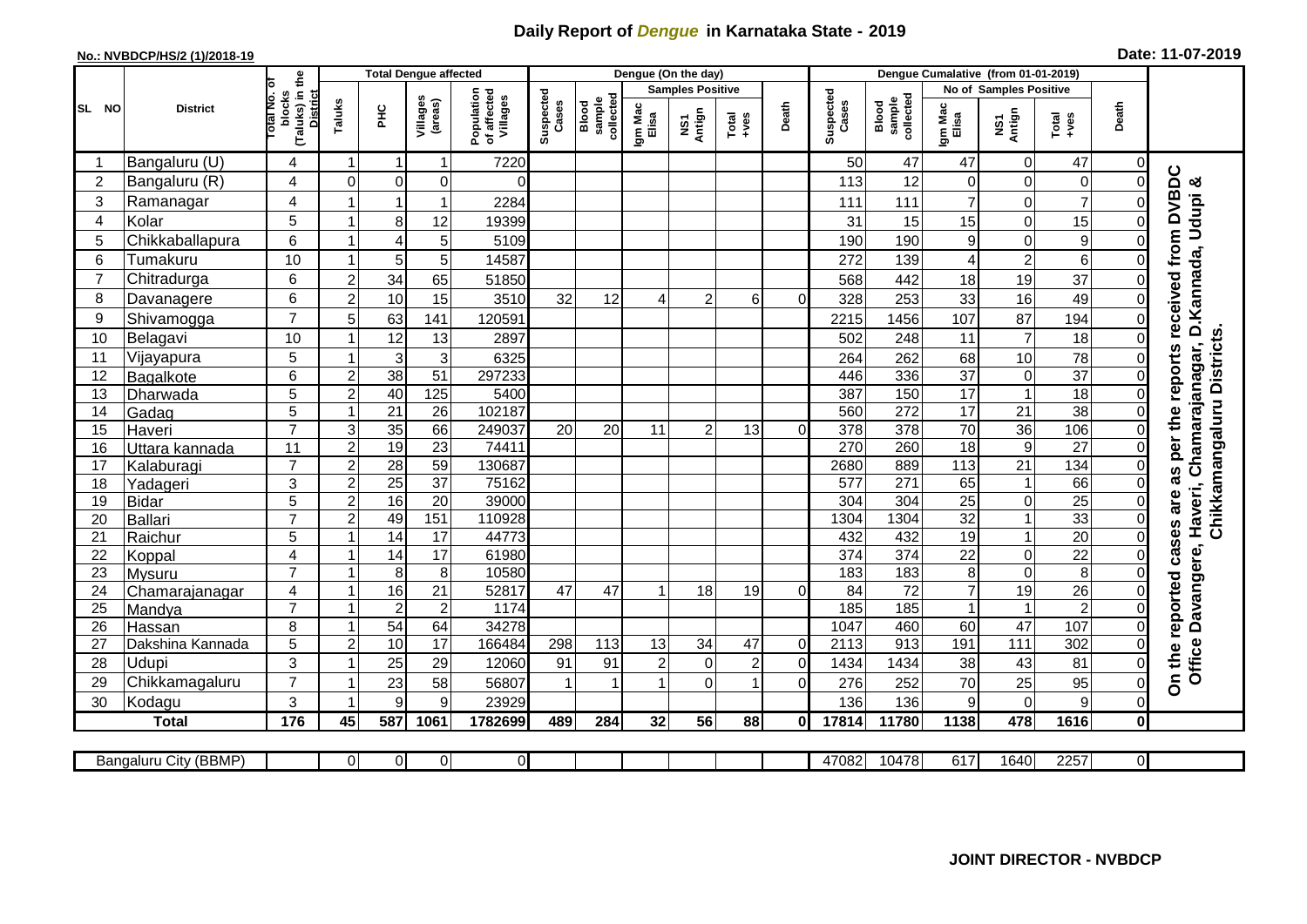## **Daily Report of** *Dengue* **in Karnataka State - 2019**

## **No.: NVBDCP/HS/2 (1)/2018-19 Date: 11-07-2019**

|                |                          |                                                       |                     | <b>Total Dengue affected</b> |                     |                                       | Dengue (On the day) |                              |                  |                         |                |                |                    | Dengue Cumalative (from 01-01-2019) |                     |                             |                                   |                  |                                  |  |
|----------------|--------------------------|-------------------------------------------------------|---------------------|------------------------------|---------------------|---------------------------------------|---------------------|------------------------------|------------------|-------------------------|----------------|----------------|--------------------|-------------------------------------|---------------------|-----------------------------|-----------------------------------|------------------|----------------------------------|--|
|                |                          |                                                       |                     |                              |                     |                                       |                     |                              |                  | <b>Samples Positive</b> |                |                |                    |                                     |                     | No of Samples Positive      |                                   |                  |                                  |  |
| SL NO          | <b>District</b>          | (Taluks) in the<br>District<br>lotal No. ol<br>blocks | Taluks              | <b>PHC</b>                   | Villages<br>(areas) | Population<br>of affected<br>Villages | Suspected<br>Cases  | collected<br>sample<br>Blood | Igm Mac<br>Elisa | NS1<br>Antign           | $Totael$       | Death          | Suspected<br>Cases | collected<br>sample<br>Blood        | Igm Mac<br>Elisa    | NS1<br>Antign               | $Tota$<br>$+ves$                  | Death            |                                  |  |
| -1             | Bangaluru (U)            | 4                                                     | $\mathbf{1}$        | -1                           | $\mathbf{1}$        | 7220                                  |                     |                              |                  |                         |                |                | 50                 | 47                                  | 47                  | $\mathbf 0$                 | 47                                | $\mathbf 0$      |                                  |  |
| $\overline{2}$ | Bangaluru (R)            | 4                                                     | $\Omega$            | $\mathbf 0$                  | $\mathbf 0$         | $\Omega$                              |                     |                              |                  |                         |                |                | 113                | 12                                  | 0                   | $\mathbf 0$                 | $\mathbf 0$                       | $\Omega$         | reports received from DVBDC<br>య |  |
| 3              | Ramanagar                | 4                                                     |                     | 1                            | 1                   | 2284                                  |                     |                              |                  |                         |                |                | 111                | 111                                 | $\overline{7}$      | 0                           | $\overline{7}$                    | 0                | D. Kannada, Udupi                |  |
| 4              | Kolar                    | 5                                                     |                     | 8                            | 12                  | 19399                                 |                     |                              |                  |                         |                |                | 31                 | 15                                  | 15                  | $\mathbf 0$                 | 15                                | 0                |                                  |  |
| 5              | Chikkaballapura          | 6                                                     | -1                  | $\overline{4}$               | 5                   | 5109                                  |                     |                              |                  |                         |                |                | 190                | 190                                 | 9                   | $\mathbf 0$                 | $\boldsymbol{9}$                  | 0                |                                  |  |
| 6              | Tumakuru                 | 10                                                    | $\overline{1}$      | 5                            | 5                   | 14587                                 |                     |                              |                  |                         |                |                | 272                | 139                                 | 4                   | $\overline{2}$              | $6\phantom{1}6$                   | 0                |                                  |  |
| 7              | Chitradurga              | 6                                                     | $\overline{c}$      | 34                           | 65                  | 51850                                 |                     |                              |                  |                         |                |                | 568                | 442                                 | 18                  | 19                          | 37                                | 0                |                                  |  |
| 8              | Davanagere               | 6                                                     | $\overline{c}$      | 10                           | 15                  | 3510                                  | 32                  | 12                           |                  | $\overline{2}$          | 6              | 0              | 328                | 253                                 | 33                  | 16                          | 49                                | $\overline{0}$   |                                  |  |
| 9              | Shivamogga               | $\overline{7}$                                        | 5                   | 63                           | 141                 | 120591                                |                     |                              |                  |                         |                |                | 2215               | 1456                                | 107                 | 87                          | 194                               | $\Omega$         |                                  |  |
| 10             | Belagavi                 | 10                                                    |                     | 12                           | 13                  | 2897                                  |                     |                              |                  |                         |                |                | 502                | 248                                 | 11                  | $\overline{7}$              | 18                                | $\Omega$         | Chikkamangaluru Districts.       |  |
| 11             | Vijayapura               | 5                                                     |                     | 3                            | 3                   | 6325                                  |                     |                              |                  |                         |                |                | 264                | 262                                 | 68                  | 10                          | 78                                | $\Omega$         | Chamarajanagar,                  |  |
| 12             | Bagalkote                | 6                                                     | $\overline{2}$      | 38                           | 51                  | 297233                                |                     |                              |                  |                         |                |                | 446                | 336                                 | $\overline{37}$     | $\pmb{0}$                   | $\overline{37}$                   | $\Omega$         |                                  |  |
| 13             | Dharwada                 | 5                                                     | $\overline{2}$      | 40                           | 125                 | 5400                                  |                     |                              |                  |                         |                |                | 387                | 150                                 | 17                  | $\overline{1}$              | 18                                | $\pmb{0}$        |                                  |  |
| 14             | Gadag                    | $\overline{5}$                                        | $\overline{1}$      | $\overline{21}$              | $\overline{26}$     | 102187                                |                     |                              |                  |                         |                |                | 560                | 272                                 | $\overline{17}$     | 21                          | 38                                | $\Omega$         |                                  |  |
| 15             | Haveri                   | $\overline{7}$                                        | $\sqrt{3}$          | 35                           | 66                  | 249037                                | 20                  | 20                           | 11               | $\overline{2}$          | 13             | $\Omega$       | 378                | 378                                 | $\overline{70}$     | $\overline{36}$             | 106                               | 0                |                                  |  |
| 16             | Uttara kannada           | 11                                                    | $\overline{2}$      | $\overline{19}$              | $\overline{23}$     | 74411                                 |                     |                              |                  |                         |                |                | 270                | 260                                 | $\overline{18}$     | $\overline{9}$              | $\overline{27}$                   | $\Omega$         | per the                          |  |
| 17             | Kalaburagi               | $\overline{7}$                                        | $\overline{2}$      | 28                           | 59                  | 130687                                |                     |                              |                  |                         |                |                | 2680               | 889                                 | 113                 | 21                          | 134                               | 0                | 8g                               |  |
| 18             | Yadageri                 | 3                                                     | $\overline{c}$      | $\overline{25}$              | $\overline{37}$     | 75162                                 |                     |                              |                  |                         |                |                | 577                | 271                                 | 65                  | $\mathbf{1}$                | 66                                | 0                |                                  |  |
| 19             | <b>Bidar</b>             | 5                                                     | $\overline{2}$      | 16                           | $\overline{20}$     | 39000                                 |                     |                              |                  |                         |                |                | $\overline{304}$   | 304                                 | $\overline{25}$     | $\boldsymbol{0}$            | $\overline{25}$                   | 0                | are                              |  |
| 20             | <b>Ballari</b>           | $\overline{7}$                                        | $\overline{c}$      | 49                           | 151                 | 110928                                |                     |                              |                  |                         |                |                | 1304               | 1304                                | 32                  | $\mathbf{1}$                | 33                                | $\Omega$         |                                  |  |
| 21             | Raichur                  | $\overline{5}$                                        | 1                   | 14                           | 17                  | 44773                                 |                     |                              |                  |                         |                |                | 432                | 432                                 | 19                  | $\overline{1}$              | $\overline{20}$                   | $\mathbf 0$      | cases                            |  |
| 22             | Koppal                   | $\overline{4}$<br>$\overline{7}$                      | $\overline{1}$<br>1 | 14                           | 17                  | 61980<br>10580                        |                     |                              |                  |                         |                |                | 374                | $\overline{374}$                    | $\overline{22}$     | $\pmb{0}$<br>$\overline{0}$ | $\overline{22}$                   | $\Omega$         |                                  |  |
| 23<br>24       | Mysuru                   | 4                                                     | -1                  | $\overline{8}$<br>16         | $\,8\,$<br>21       | 52817                                 | 47                  | 47                           |                  | 18                      | 19             | $\Omega$       | 183<br>84          | 183<br>$\overline{72}$              | 8<br>$\overline{7}$ | $\overline{19}$             | $\overline{8}$<br>$\overline{26}$ | $\mathbf 0$<br>0 |                                  |  |
| 25             | Chamarajanagar<br>Mandya | $\overline{7}$                                        | $\overline{1}$      | $\overline{2}$               | $\overline{c}$      | 1174                                  |                     |                              |                  |                         |                |                | 185                | 185                                 | $\mathbf{1}$        | $\mathbf{1}$                | $\overline{2}$                    | $\Omega$         |                                  |  |
| 26             | Hassan                   | 8                                                     | -1                  | $\overline{54}$              | 64                  | 34278                                 |                     |                              |                  |                         |                |                | 1047               | 460                                 | 60                  | $\overline{47}$             | 107                               | $\Omega$         |                                  |  |
| 27             | Dakshina Kannada         | 5                                                     | $\overline{c}$      | 10                           | 17                  | 166484                                | 298                 | 113                          | 13               | 34                      | 47             | $\overline{0}$ | 2113               | 913                                 | 191                 | 111                         | 302                               | 0                |                                  |  |
| 28             | Udupi                    | 3                                                     |                     | 25                           | 29                  | 12060                                 | 91                  | 91                           | $\overline{2}$   | $\mathbf 0$             | $\overline{c}$ | $\Omega$       | 1434               | 1434                                | 38                  | 43                          | 81                                | $\overline{0}$   | Office Davangere, Haveri,        |  |
| 29             | Chikkamagaluru           | $\overline{7}$                                        |                     | 23                           | 58                  | 56807                                 |                     | 1                            |                  | $\Omega$                |                | $\Omega$       | 276                | 252                                 | 70                  | 25                          | 95                                | $\mathbf 0$      | On the reported                  |  |
| 30             | Kodagu                   | 3                                                     | -1                  | 9                            | 9                   | 23929                                 |                     |                              |                  |                         |                |                | 136                | 136                                 | 9                   | $\mathbf 0$                 | 9                                 | $\pmb{0}$        |                                  |  |
|                | <b>Total</b>             | 176                                                   | 45                  | 587                          | 1061                | 1782699                               | 489                 | 284                          | 32               | 56                      | 88             | 0l             | 17814              | 11780                               | 1138                | 478                         | 1616                              | $\mathbf{0}$     |                                  |  |
|                |                          |                                                       |                     |                              |                     |                                       |                     |                              |                  |                         |                |                |                    |                                     |                     |                             |                                   |                  |                                  |  |
|                | Bangaluru City (BBMP)    |                                                       | $\Omega$            | $\overline{0}$               | 0                   | $\overline{0}$                        |                     |                              |                  |                         |                |                | 47082              | 10478                               | 617                 | 1640                        | 2257                              | $\overline{0}$   |                                  |  |